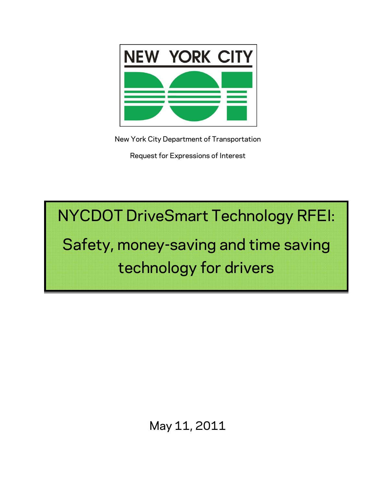

New York City Department of Transportation

Request for Expressions of Interest

NYCDOT DriveSmart Technology RFEI:

# Safety, money-saving and time saving technology for drivers

# May 11, 2011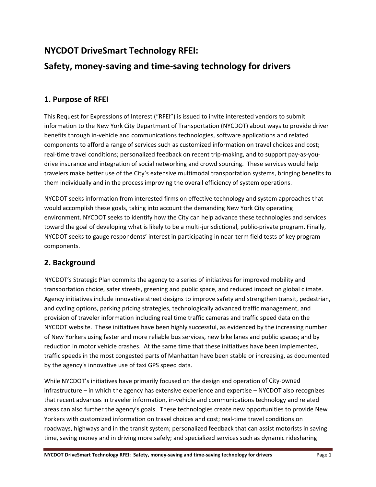# **NYCDOT DriveSmart Technology RFEI:**

# **Safety, money‐saving and time‐saving technology for drivers**

### **1. Purpose of RFEI**

This Request for Expressions of Interest ("RFEI") is issued to invite interested vendors to submit information to the New York City Department of Transportation (NYCDOT) about ways to provide driver benefits through in‐vehicle and communications technologies, software applications and related components to afford a range of services such as customized information on travel choices and cost; real-time travel conditions; personalized feedback on recent trip-making, and to support pay-as-youdrive insurance and integration of social networking and crowd sourcing. These services would help travelers make better use of the City's extensive multimodal transportation systems, bringing benefits to them individually and in the process improving the overall efficiency of system operations.

NYCDOT seeks information from interested firms on effective technology and system approaches that would accomplish these goals, taking into account the demanding New York City operating environment. NYCDOT seeks to identify how the City can help advance these technologies and services toward the goal of developing what is likely to be a multi‐jurisdictional, public‐private program. Finally, NYCDOT seeks to gauge respondents' interest in participating in near-term field tests of key program components.

# **2. Background**

NYCDOT's Strategic Plan commits the agency to a series of initiatives for improved mobility and transportation choice, safer streets, greening and public space, and reduced impact on global climate. Agency initiatives include innovative street designs to improve safety and strengthen transit, pedestrian, and cycling options, parking pricing strategies, technologically advanced traffic management, and provision of traveler information including real time traffic cameras and traffic speed data on the NYCDOT website. These initiatives have been highly successful, as evidenced by the increasing number of New Yorkers using faster and more reliable bus services, new bike lanes and public spaces; and by reduction in motor vehicle crashes. At the same time that these initiatives have been implemented, traffic speeds in the most congested parts of Manhattan have been stable or increasing, as documented by the agency's innovative use of taxi GPS speed data.

While NYCDOT's initiatives have primarily focused on the design and operation of City‐owned infrastructure – in which the agency has extensive experience and expertise – NYCDOT also recognizes that recent advances in traveler information, in‐vehicle and communications technology and related areas can also further the agency's goals. These technologies create new opportunities to provide New Yorkers with customized information on travel choices and cost; real‐time travel conditions on roadways, highways and in the transit system; personalized feedback that can assist motorists in saving time, saving money and in driving more safely; and specialized services such as dynamic ridesharing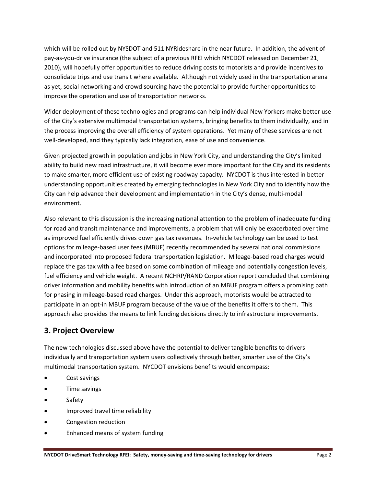which will be rolled out by NYSDOT and 511 NYRideshare in the near future. In addition, the advent of pay‐as‐you‐drive insurance (the subject of a previous RFEI which NYCDOT released on December 21, 2010), will hopefully offer opportunities to reduce driving costs to motorists and provide incentives to consolidate trips and use transit where available. Although not widely used in the transportation arena as yet, social networking and crowd sourcing have the potential to provide further opportunities to improve the operation and use of transportation networks.

Wider deployment of these technologies and programs can help individual New Yorkers make better use of the City's extensive multimodal transportation systems, bringing benefits to them individually, and in the process improving the overall efficiency of system operations. Yet many of these services are not well-developed, and they typically lack integration, ease of use and convenience.

Given projected growth in population and jobs in New York City, and understanding the City's limited ability to build new road infrastructure, it will become ever more important for the City and its residents to make smarter, more efficient use of existing roadway capacity. NYCDOT is thus interested in better understanding opportunities created by emerging technologies in New York City and to identify how the City can help advance their development and implementation in the City's dense, multi-modal environment.

Also relevant to this discussion is the increasing national attention to the problem of inadequate funding for road and transit maintenance and improvements, a problem that will only be exacerbated over time as improved fuel efficiently drives down gas tax revenues. In-vehicle technology can be used to test options for mileage‐based user fees (MBUF) recently recommended by several national commissions and incorporated into proposed federal transportation legislation. Mileage-based road charges would replace the gas tax with a fee based on some combination of mileage and potentially congestion levels, fuel efficiency and vehicle weight. A recent NCHRP/RAND Corporation report concluded that combining driver information and mobility benefits with introduction of an MBUF program offers a promising path for phasing in mileage‐based road charges. Under this approach, motorists would be attracted to participate in an opt-in MBUF program because of the value of the benefits it offers to them. This approach also provides the means to link funding decisions directly to infrastructure improvements.

### **3. Project Overview**

The new technologies discussed above have the potential to deliver tangible benefits to drivers individually and transportation system users collectively through better, smarter use of the City's multimodal transportation system. NYCDOT envisions benefits would encompass:

- Cost savings
- **•** Time savings
- Safety
- Improved travel time reliability
- Congestion reduction
- Enhanced means of system funding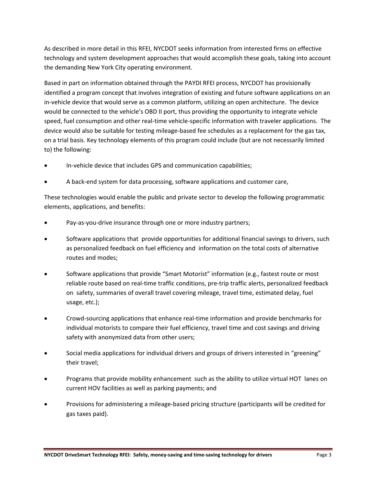As described in more detail in this RFEI, NYCDOT seeks information from interested firms on effective technology and system development approaches that would accomplish these goals, taking into account the demanding New York City operating environment.

Based in part on information obtained through the PAYDI RFEI process, NYCDOT has provisionally identified a program concept that involves integration of existing and future software applications on an in-vehicle device that would serve as a common platform, utilizing an open architecture. The device would be connected to the vehicle's OBD II port, thus providing the opportunity to integrate vehicle speed, fuel consumption and other real-time vehicle-specific information with traveler applications. The device would also be suitable for testing mileage‐based fee schedules as a replacement for the gas tax, on a trial basis. Key technology elements of this program could include (but are not necessarily limited to) the following:

- In‐vehicle device that includes GPS and communication capabilities;
- A back‐end system for data processing, software applications and customer care,

These technologies would enable the public and private sector to develop the following programmatic elements, applications, and benefits:

- Pay‐as‐you‐drive insurance through one or more industry partners;
- Software applications that provide opportunities for additional financial savings to drivers, such as personalized feedback on fuel efficiency and information on the total costs of alternative routes and modes;
- Software applications that provide "Smart Motorist" information (e.g., fastest route or most reliable route based on real‐time traffic conditions, pre‐trip traffic alerts, personalized feedback on safety, summaries of overall travel covering mileage, travel time, estimated delay, fuel usage, etc.);
- Crowd‐sourcing applications that enhance real‐time information and provide benchmarks for individual motorists to compare their fuel efficiency, travel time and cost savings and driving safety with anonymized data from other users;
- Social media applications for individual drivers and groups of drivers interested in "greening" their travel;
- Programs that provide mobility enhancement such as the ability to utilize virtual HOT lanes on current HOV facilities as well as parking payments; and
- Provisions for administering a mileage‐based pricing structure (participants will be credited for gas taxes paid).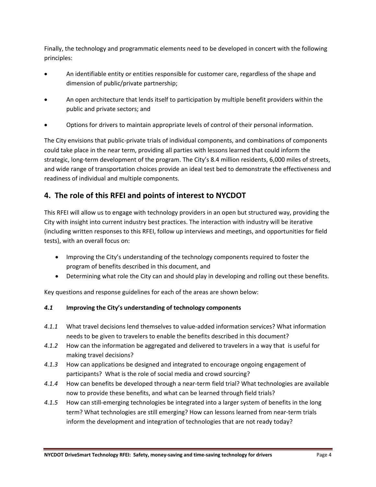Finally, the technology and programmatic elements need to be developed in concert with the following principles:

- An identifiable entity or entities responsible for customer care, regardless of the shape and dimension of public/private partnership;
- An open architecture that lends itself to participation by multiple benefit providers within the public and private sectors; and
- Options for drivers to maintain appropriate levels of control of their personal information.

The City envisions that public‐private trials of individual components, and combinations of components could take place in the near term, providing all parties with lessons learned that could inform the strategic, long‐term development of the program. The City's 8.4 million residents, 6,000 miles of streets, and wide range of transportation choices provide an ideal test bed to demonstrate the effectiveness and readiness of individual and multiple components.

## **4. The role of this RFEI and points of interest to NYCDOT**

This RFEI will allow us to engage with technology providers in an open but structured way, providing the City with insight into current industry best practices. The interaction with industry will be iterative (including written responses to this RFEI, follow up interviews and meetings, and opportunities for field tests), with an overall focus on:

- Improving the City's understanding of the technology components required to foster the program of benefits described in this document, and
- Determining what role the City can and should play in developing and rolling out these benefits.

Key questions and response guidelines for each of the areas are shown below:

#### *4.1* **Improving the City's understanding of technology components**

- *4.1.1* What travel decisions lend themselves to value‐added information services? What information needs to be given to travelers to enable the benefits described in this document?
- *4.1.2* How can the information be aggregated and delivered to travelers in a way that is useful for making travel decisions?
- *4.1.3* How can applications be designed and integrated to encourage ongoing engagement of participants? What is the role of social media and crowd sourcing?
- 4.1.4 How can benefits be developed through a near-term field trial? What technologies are available now to provide these benefits, and what can be learned through field trials?
- *4.1.5* How can still‐emerging technologies be integrated into a larger system of benefits in the long term? What technologies are still emerging? How can lessons learned from near-term trials inform the development and integration of technologies that are not ready today?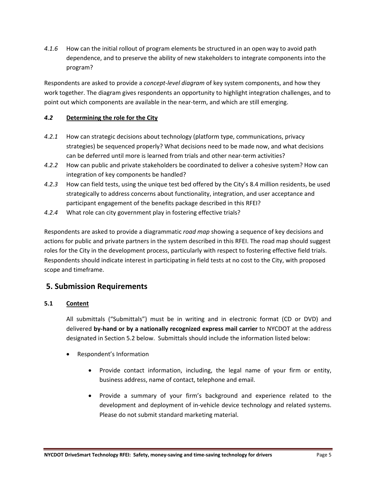*4.1.6* How can the initial rollout of program elements be structured in an open way to avoid path dependence, and to preserve the ability of new stakeholders to integrate components into the program?

Respondents are asked to provide a *concept‐level diagram* of key system components, and how they work together. The diagram gives respondents an opportunity to highlight integration challenges, and to point out which components are available in the near-term, and which are still emerging.

#### *4.2* **Determining the role for the City**

- *4.2.1* How can strategic decisions about technology (platform type, communications, privacy strategies) be sequenced properly? What decisions need to be made now, and what decisions can be deferred until more is learned from trials and other near-term activities?
- *4.2.2* How can public and private stakeholders be coordinated to deliver a cohesive system? How can integration of key components be handled?
- *4.2.3* How can field tests, using the unique test bed offered by the City's 8.4 million residents, be used strategically to address concerns about functionality, integration, and user acceptance and participant engagement of the benefits package described in this RFEI?
- *4.2.4* What role can city government play in fostering effective trials?

Respondents are asked to provide a diagrammatic *road map* showing a sequence of key decisions and actions for public and private partners in the system described in this RFEI. The road map should suggest roles for the City in the development process, particularly with respect to fostering effective field trials. Respondents should indicate interest in participating in field tests at no cost to the City, with proposed scope and timeframe.

#### **5. Submission Requirements**

#### **5.1 Content**

All submittals ("Submittals") must be in writing and in electronic format (CD or DVD) and delivered **by‐hand or by a nationally recognized express mail carrier** to NYCDOT at the address designated in Section 5.2 below. Submittals should include the information listed below:

- Respondent's Information
	- Provide contact information, including, the legal name of your firm or entity, business address, name of contact, telephone and email.
	- Provide a summary of your firm's background and experience related to the development and deployment of in‐vehicle device technology and related systems. Please do not submit standard marketing material.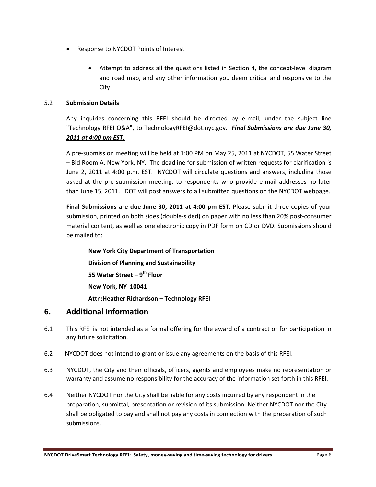- Response to NYCDOT Points of Interest
	- Attempt to address all the questions listed in Section 4, the concept-level diagram and road map, and any other information you deem critical and responsive to the **City**

#### 5.2 **Submission Details**

Any inquiries concerning this RFEI should be directed by e-mail, under the subject line "Technology RFEI Q&A", to TechnologyRFEI@dot.nyc.gov. *Final Submissions are due June 30, 2011 at 4:00 pm EST.*

A pre‐submission meeting will be held at 1:00 PM on May 25, 2011 at NYCDOT, 55 Water Street – Bid Room A, New York, NY. The deadline for submission of written requests for clarification is June 2, 2011 at 4:00 p.m. EST. NYCDOT will circulate questions and answers, including those asked at the pre‐submission meeting, to respondents who provide e‐mail addresses no later than June 15, 2011. DOT will post answers to all submitted questions on the NYCDOT webpage.

**Final Submissions are due June 30, 2011 at 4:00 pm EST**. Please submit three copies of your submission, printed on both sides (double-sided) on paper with no less than 20% post-consumer material content, as well as one electronic copy in PDF form on CD or DVD. Submissions should be mailed to:

**New York City Department of Transportation Division of Planning and Sustainability 55 Water Street – 9th Floor New York, NY 10041 Attn:Heather Richardson – Technology RFEI**

#### **6. Additional Information**

- 6.1 This RFEI is not intended as a formal offering for the award of a contract or for participation in any future solicitation.
- 6.2 NYCDOT does not intend to grant or issue any agreements on the basis of this RFEI.
- 6.3 NYCDOT, the City and their officials, officers, agents and employees make no representation or warranty and assume no responsibility for the accuracy of the information set forth in this RFEI.
- 6.4 Neither NYCDOT nor the City shall be liable for any costs incurred by any respondent in the preparation, submittal, presentation or revision of its submission. Neither NYCDOT nor the City shall be obligated to pay and shall not pay any costs in connection with the preparation of such submissions.